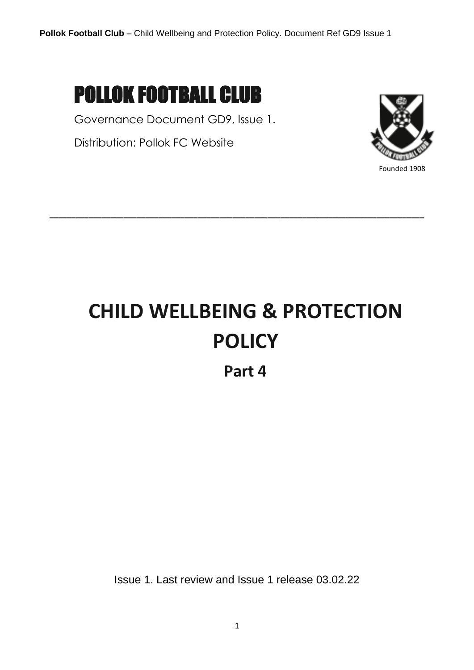# POLLOK FOOTBALL CLUB

Governance Document GD9, Issue 1.

Distribution: Pollok FC Website



# **CHILD WELLBEING & PROTECTION POLICY**

**\_\_\_\_\_\_\_\_\_\_\_\_\_\_\_\_\_\_\_\_\_\_\_\_\_\_\_\_\_\_\_\_\_\_\_\_\_\_\_\_\_\_\_\_\_\_\_\_\_\_\_\_\_\_\_\_\_\_\_\_\_\_\_\_\_\_\_\_\_\_\_\_\_\_\_\_\_\_\_\_\_\_\_\_\_\_**

**Part 4**

Issue 1. Last review and Issue 1 release 03.02.22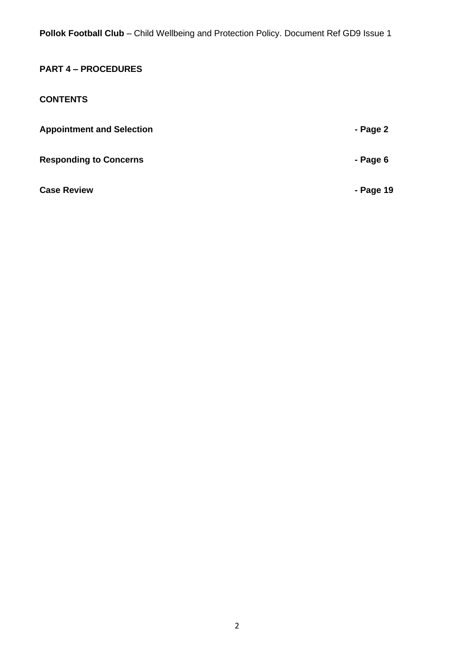# **PART 4 – PROCEDURES**

#### **CONTENTS**

| <b>Appointment and Selection</b> | - Page 2  |
|----------------------------------|-----------|
| <b>Responding to Concerns</b>    | - Page 6  |
| <b>Case Review</b>               | - Page 19 |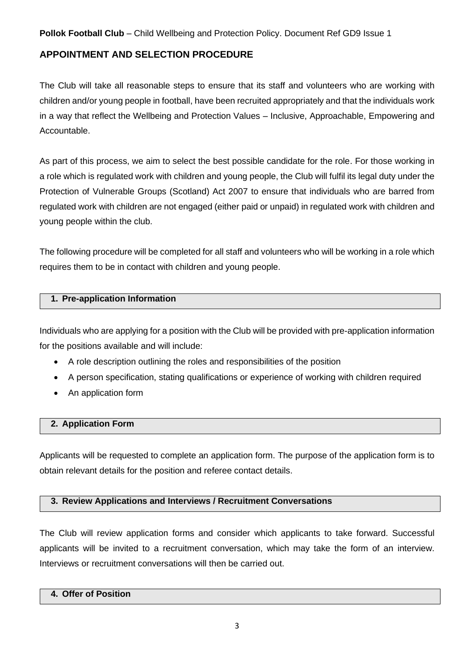#### **APPOINTMENT AND SELECTION PROCEDURE**

The Club will take all reasonable steps to ensure that its staff and volunteers who are working with children and/or young people in football, have been recruited appropriately and that the individuals work in a way that reflect the Wellbeing and Protection Values – Inclusive, Approachable, Empowering and Accountable.

As part of this process, we aim to select the best possible candidate for the role. For those working in a role which is regulated work with children and young people, the Club will fulfil its legal duty under the Protection of Vulnerable Groups (Scotland) Act 2007 to ensure that individuals who are barred from regulated work with children are not engaged (either paid or unpaid) in regulated work with children and young people within the club.

The following procedure will be completed for all staff and volunteers who will be working in a role which requires them to be in contact with children and young people.

#### **1. Pre-application Information**

Individuals who are applying for a position with the Club will be provided with pre-application information for the positions available and will include:

- A role description outlining the roles and responsibilities of the position
- A person specification, stating qualifications or experience of working with children required
- An application form

#### **2. Application Form**

Applicants will be requested to complete an application form. The purpose of the application form is to obtain relevant details for the position and referee contact details.

#### **3. Review Applications and Interviews / Recruitment Conversations**

The Club will review application forms and consider which applicants to take forward. Successful applicants will be invited to a recruitment conversation, which may take the form of an interview. Interviews or recruitment conversations will then be carried out.

#### **4. Offer of Position**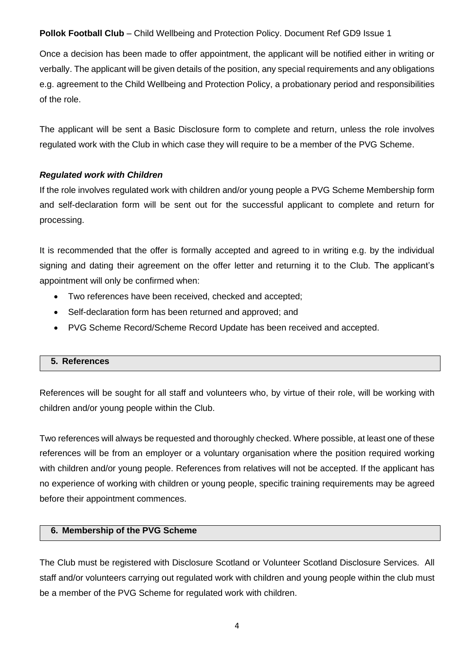Once a decision has been made to offer appointment, the applicant will be notified either in writing or verbally. The applicant will be given details of the position, any special requirements and any obligations e.g. agreement to the Child Wellbeing and Protection Policy, a probationary period and responsibilities of the role.

The applicant will be sent a Basic Disclosure form to complete and return, unless the role involves regulated work with the Club in which case they will require to be a member of the PVG Scheme.

#### *Regulated work with Children*

If the role involves regulated work with children and/or young people a PVG Scheme Membership form and self-declaration form will be sent out for the successful applicant to complete and return for processing.

It is recommended that the offer is formally accepted and agreed to in writing e.g. by the individual signing and dating their agreement on the offer letter and returning it to the Club. The applicant's appointment will only be confirmed when:

- Two references have been received, checked and accepted;
- Self-declaration form has been returned and approved; and
- PVG Scheme Record/Scheme Record Update has been received and accepted.

#### **5. References**

References will be sought for all staff and volunteers who, by virtue of their role, will be working with children and/or young people within the Club.

Two references will always be requested and thoroughly checked. Where possible, at least one of these references will be from an employer or a voluntary organisation where the position required working with children and/or young people. References from relatives will not be accepted. If the applicant has no experience of working with children or young people, specific training requirements may be agreed before their appointment commences.

#### **6. Membership of the PVG Scheme**

The Club must be registered with Disclosure Scotland or Volunteer Scotland Disclosure Services. All staff and/or volunteers carrying out regulated work with children and young people within the club must be a member of the PVG Scheme for regulated work with children.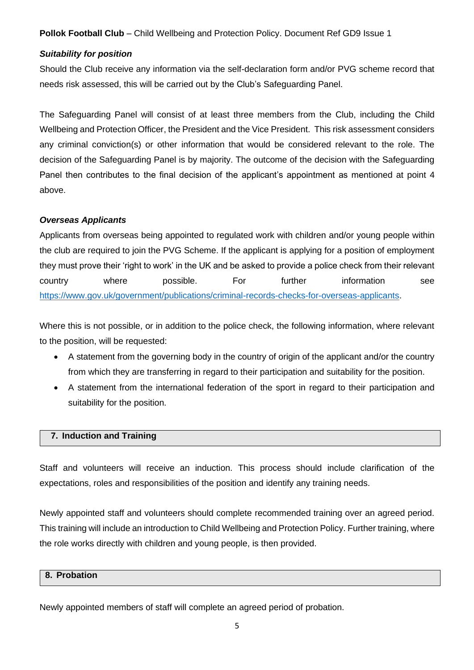#### *Suitability for position*

Should the Club receive any information via the self-declaration form and/or PVG scheme record that needs risk assessed, this will be carried out by the Club's Safeguarding Panel.

The Safeguarding Panel will consist of at least three members from the Club, including the Child Wellbeing and Protection Officer, the President and the Vice President. This risk assessment considers any criminal conviction(s) or other information that would be considered relevant to the role. The decision of the Safeguarding Panel is by majority. The outcome of the decision with the Safeguarding Panel then contributes to the final decision of the applicant's appointment as mentioned at point 4 above.

#### *Overseas Applicants*

Applicants from overseas being appointed to regulated work with children and/or young people within the club are required to join the PVG Scheme. If the applicant is applying for a position of employment they must prove their 'right to work' in the UK and be asked to provide a police check from their relevant country where possible. For further information see [https://www.gov.uk/government/publications/criminal-records-checks-for-overseas-applicants.](https://www.gov.uk/government/publications/criminal-records-checks-for-overseas-applicants)

Where this is not possible, or in addition to the police check, the following information, where relevant to the position, will be requested:

- A statement from the governing body in the country of origin of the applicant and/or the country from which they are transferring in regard to their participation and suitability for the position.
- A statement from the international federation of the sport in regard to their participation and suitability for the position.

#### **7. Induction and Training**

Staff and volunteers will receive an induction. This process should include clarification of the expectations, roles and responsibilities of the position and identify any training needs.

Newly appointed staff and volunteers should complete recommended training over an agreed period. This training will include an introduction to Child Wellbeing and Protection Policy. Further training, where the role works directly with children and young people, is then provided.

#### **8. Probation**

Newly appointed members of staff will complete an agreed period of probation.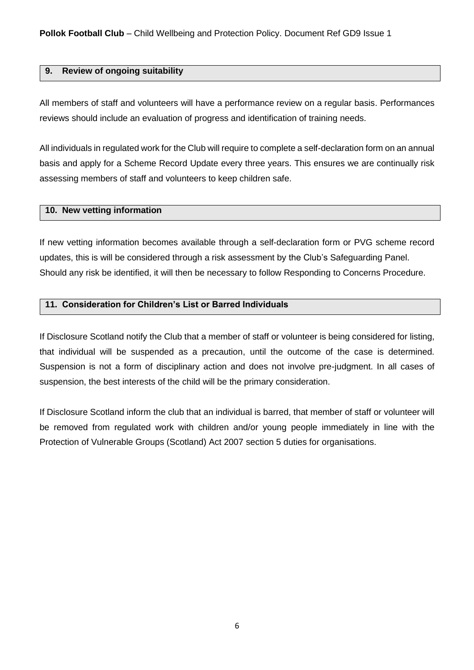#### **9. Review of ongoing suitability**

All members of staff and volunteers will have a performance review on a regular basis. Performances reviews should include an evaluation of progress and identification of training needs.

All individuals in regulated work for the Club will require to complete a self-declaration form on an annual basis and apply for a Scheme Record Update every three years. This ensures we are continually risk assessing members of staff and volunteers to keep children safe.

#### **10. New vetting information**

If new vetting information becomes available through a self-declaration form or PVG scheme record updates, this is will be considered through a risk assessment by the Club's Safeguarding Panel. Should any risk be identified, it will then be necessary to follow Responding to Concerns Procedure.

#### **11. Consideration for Children's List or Barred Individuals**

If Disclosure Scotland notify the Club that a member of staff or volunteer is being considered for listing, that individual will be suspended as a precaution, until the outcome of the case is determined. Suspension is not a form of disciplinary action and does not involve pre-judgment. In all cases of suspension, the best interests of the child will be the primary consideration.

If Disclosure Scotland inform the club that an individual is barred, that member of staff or volunteer will be removed from regulated work with children and/or young people immediately in line with the Protection of Vulnerable Groups (Scotland) Act 2007 section 5 duties for organisations.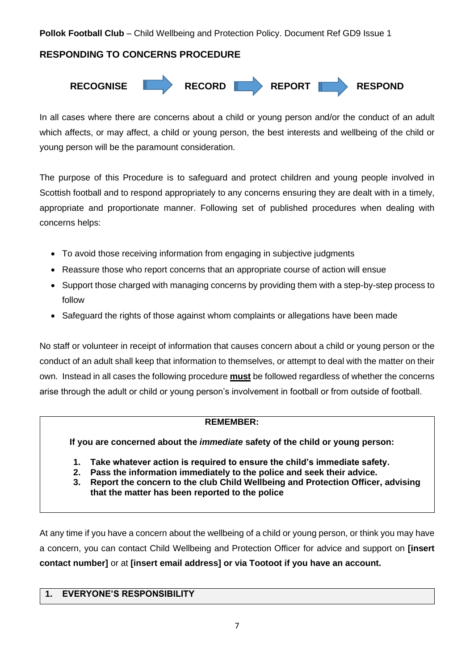#### **RESPONDING TO CONCERNS PROCEDURE**



In all cases where there are concerns about a child or young person and/or the conduct of an adult which affects, or may affect, a child or young person, the best interests and wellbeing of the child or young person will be the paramount consideration.

The purpose of this Procedure is to safeguard and protect children and young people involved in Scottish football and to respond appropriately to any concerns ensuring they are dealt with in a timely, appropriate and proportionate manner. Following set of published procedures when dealing with concerns helps:

- To avoid those receiving information from engaging in subjective judgments
- Reassure those who report concerns that an appropriate course of action will ensue
- Support those charged with managing concerns by providing them with a step-by-step process to follow
- Safeguard the rights of those against whom complaints or allegations have been made

No staff or volunteer in receipt of information that causes concern about a child or young person or the conduct of an adult shall keep that information to themselves, or attempt to deal with the matter on their own. Instead in all cases the following procedure **must** be followed regardless of whether the concerns arise through the adult or child or young person's involvement in football or from outside of football.

#### **REMEMBER:**

**If you are concerned about the** *immediate* **safety of the child or young person:**

- **1. Take whatever action is required to ensure the child's immediate safety.**
- **2. Pass the information immediately to the police and seek their advice.**
- **3. Report the concern to the club Child Wellbeing and Protection Officer, advising that the matter has been reported to the police**

At any time if you have a concern about the wellbeing of a child or young person, or think you may have a concern, you can contact Child Wellbeing and Protection Officer for advice and support on **[insert contact number]** or at **[insert email address] or via Tootoot if you have an account.**

#### **1. EVERYONE'S RESPONSIBILITY**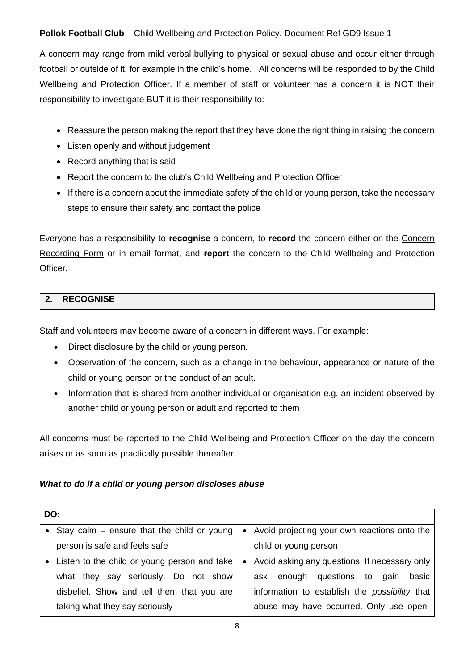A concern may range from mild verbal bullying to physical or sexual abuse and occur either through football or outside of it, for example in the child's home. All concerns will be responded to by the Child Wellbeing and Protection Officer. If a member of staff or volunteer has a concern it is NOT their responsibility to investigate BUT it is their responsibility to:

- Reassure the person making the report that they have done the right thing in raising the concern
- Listen openly and without judgement
- Record anything that is said
- Report the concern to the club's Child Wellbeing and Protection Officer
- If there is a concern about the immediate safety of the child or young person, take the necessary steps to ensure their safety and contact the police

Everyone has a responsibility to **recognise** a concern, to **record** the concern either on the Concern Recording Form or in email format, and **report** the concern to the Child Wellbeing and Protection Officer.

#### **2. RECOGNISE**

Staff and volunteers may become aware of a concern in different ways. For example:

- Direct disclosure by the child or young person.
- Observation of the concern, such as a change in the behaviour, appearance or nature of the child or young person or the conduct of an adult.
- Information that is shared from another individual or organisation e.g. an incident observed by another child or young person or adult and reported to them

All concerns must be reported to the Child Wellbeing and Protection Officer on the day the concern arises or as soon as practically possible thereafter.

#### *What to do if a child or young person discloses abuse*

| DO:                                            |  |                                                      |  |  |  |
|------------------------------------------------|--|------------------------------------------------------|--|--|--|
| • Stay calm $-$ ensure that the child or young |  | • Avoid projecting your own reactions onto the       |  |  |  |
| person is safe and feels safe                  |  | child or young person                                |  |  |  |
| • Listen to the child or young person and take |  | • Avoid asking any questions. If necessary only      |  |  |  |
| what they say seriously. Do not show           |  | ask enough questions to<br>basic<br>gain             |  |  |  |
| disbelief. Show and tell them that you are     |  | information to establish the <i>possibility</i> that |  |  |  |
| taking what they say seriously                 |  | abuse may have occurred. Only use open-              |  |  |  |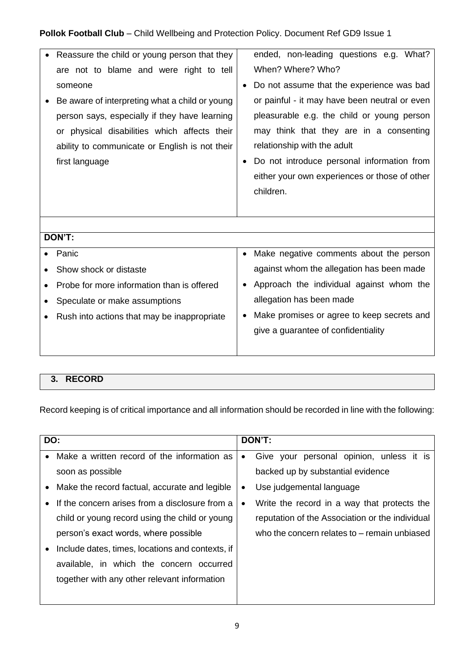| Reassure the child or young person that they<br>are not to blame and were right to tell<br>someone<br>Be aware of interpreting what a child or young<br>person says, especially if they have learning<br>or physical disabilities which affects their<br>ability to communicate or English is not their<br>first language | ended, non-leading questions e.g. What?<br>When? Where? Who?<br>Do not assume that the experience was bad<br>or painful - it may have been neutral or even<br>pleasurable e.g. the child or young person<br>may think that they are in a consenting<br>relationship with the adult<br>Do not introduce personal information from<br>either your own experiences or those of other<br>children. |  |  |  |
|---------------------------------------------------------------------------------------------------------------------------------------------------------------------------------------------------------------------------------------------------------------------------------------------------------------------------|------------------------------------------------------------------------------------------------------------------------------------------------------------------------------------------------------------------------------------------------------------------------------------------------------------------------------------------------------------------------------------------------|--|--|--|
|                                                                                                                                                                                                                                                                                                                           |                                                                                                                                                                                                                                                                                                                                                                                                |  |  |  |
| DON'T:                                                                                                                                                                                                                                                                                                                    |                                                                                                                                                                                                                                                                                                                                                                                                |  |  |  |
| Panic                                                                                                                                                                                                                                                                                                                     | Make negative comments about the person<br>$\bullet$                                                                                                                                                                                                                                                                                                                                           |  |  |  |
| Show shock or distaste                                                                                                                                                                                                                                                                                                    | against whom the allegation has been made                                                                                                                                                                                                                                                                                                                                                      |  |  |  |
| Probe for more information than is offered                                                                                                                                                                                                                                                                                | Approach the individual against whom the                                                                                                                                                                                                                                                                                                                                                       |  |  |  |
| Speculate or make assumptions                                                                                                                                                                                                                                                                                             | allegation has been made                                                                                                                                                                                                                                                                                                                                                                       |  |  |  |
| Rush into actions that may be inappropriate<br>$\bullet$                                                                                                                                                                                                                                                                  | Make promises or agree to keep secrets and                                                                                                                                                                                                                                                                                                                                                     |  |  |  |
|                                                                                                                                                                                                                                                                                                                           | give a guarantee of confidentiality                                                                                                                                                                                                                                                                                                                                                            |  |  |  |
|                                                                                                                                                                                                                                                                                                                           |                                                                                                                                                                                                                                                                                                                                                                                                |  |  |  |

# **3. RECORD**

Record keeping is of critical importance and all information should be recorded in line with the following:

| DO:       |                                                  | DON'T:    |                                                 |  |  |  |
|-----------|--------------------------------------------------|-----------|-------------------------------------------------|--|--|--|
| $\bullet$ | Make a written record of the information as      | $\bullet$ | Give your personal opinion, unless it is        |  |  |  |
|           | soon as possible                                 |           | backed up by substantial evidence               |  |  |  |
|           | Make the record factual, accurate and legible    | $\bullet$ | Use judgemental language                        |  |  |  |
|           | If the concern arises from a disclosure from a   | $\bullet$ | Write the record in a way that protects the     |  |  |  |
|           | child or young record using the child or young   |           | reputation of the Association or the individual |  |  |  |
|           | person's exact words, where possible             |           | who the concern relates to – remain unbiased    |  |  |  |
|           | Include dates, times, locations and contexts, if |           |                                                 |  |  |  |
|           | available, in which the concern occurred         |           |                                                 |  |  |  |
|           | together with any other relevant information     |           |                                                 |  |  |  |
|           |                                                  |           |                                                 |  |  |  |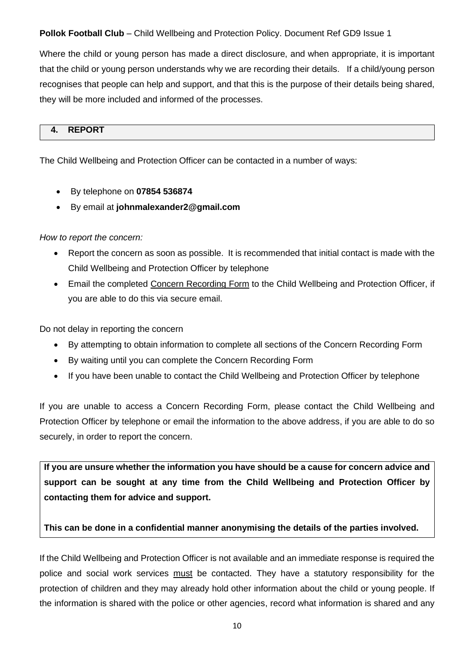Where the child or young person has made a direct disclosure, and when appropriate, it is important that the child or young person understands why we are recording their details. If a child/young person recognises that people can help and support, and that this is the purpose of their details being shared, they will be more included and informed of the processes.

#### **4. REPORT**

The Child Wellbeing and Protection Officer can be contacted in a number of ways:

- By telephone on **07854 536874**
- By email at **johnmalexander2@gmail.com**

#### *How to report the concern:*

- Report the concern as soon as possible. It is recommended that initial contact is made with the Child Wellbeing and Protection Officer by telephone
- Email the completed Concern Recording Form to the Child Wellbeing and Protection Officer, if you are able to do this via secure email.

Do not delay in reporting the concern

- By attempting to obtain information to complete all sections of the Concern Recording Form
- By waiting until you can complete the Concern Recording Form
- If you have been unable to contact the Child Wellbeing and Protection Officer by telephone

If you are unable to access a Concern Recording Form, please contact the Child Wellbeing and Protection Officer by telephone or email the information to the above address, if you are able to do so securely, in order to report the concern.

**If you are unsure whether the information you have should be a cause for concern advice and support can be sought at any time from the Child Wellbeing and Protection Officer by contacting them for advice and support.** 

#### **This can be done in a confidential manner anonymising the details of the parties involved.**

If the Child Wellbeing and Protection Officer is not available and an immediate response is required the police and social work services must be contacted. They have a statutory responsibility for the protection of children and they may already hold other information about the child or young people. If the information is shared with the police or other agencies, record what information is shared and any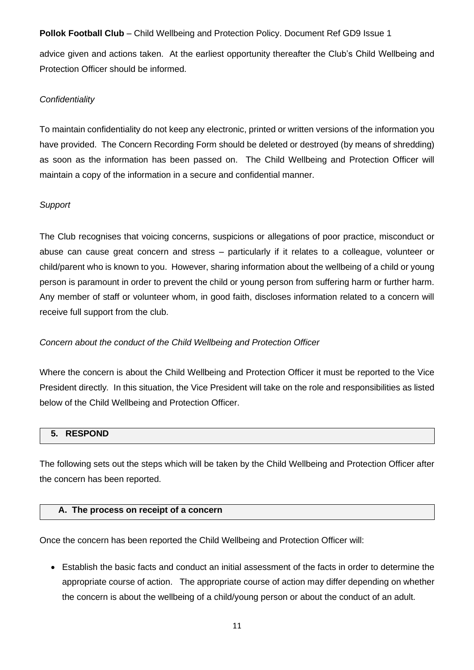advice given and actions taken. At the earliest opportunity thereafter the Club's Child Wellbeing and Protection Officer should be informed.

#### *Confidentiality*

To maintain confidentiality do not keep any electronic, printed or written versions of the information you have provided. The Concern Recording Form should be deleted or destroyed (by means of shredding) as soon as the information has been passed on. The Child Wellbeing and Protection Officer will maintain a copy of the information in a secure and confidential manner.

#### *Support*

The Club recognises that voicing concerns, suspicions or allegations of poor practice, misconduct or abuse can cause great concern and stress – particularly if it relates to a colleague, volunteer or child/parent who is known to you. However, sharing information about the wellbeing of a child or young person is paramount in order to prevent the child or young person from suffering harm or further harm. Any member of staff or volunteer whom, in good faith, discloses information related to a concern will receive full support from the club.

#### *Concern about the conduct of the Child Wellbeing and Protection Officer*

Where the concern is about the Child Wellbeing and Protection Officer it must be reported to the Vice President directly*.* In this situation, the Vice President will take on the role and responsibilities as listed below of the Child Wellbeing and Protection Officer.

#### **5. RESPOND**

The following sets out the steps which will be taken by the Child Wellbeing and Protection Officer after the concern has been reported.

#### **A. The process on receipt of a concern**

Once the concern has been reported the Child Wellbeing and Protection Officer will:

• Establish the basic facts and conduct an initial assessment of the facts in order to determine the appropriate course of action. The appropriate course of action may differ depending on whether the concern is about the wellbeing of a child/young person or about the conduct of an adult.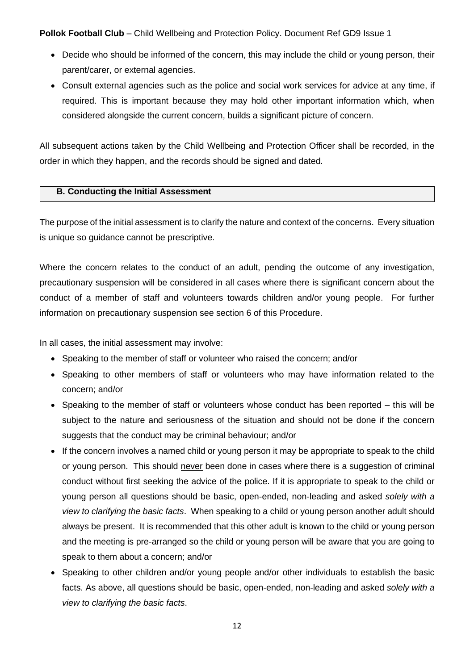- Decide who should be informed of the concern, this may include the child or young person, their parent/carer, or external agencies.
- Consult external agencies such as the police and social work services for advice at any time, if required. This is important because they may hold other important information which, when considered alongside the current concern, builds a significant picture of concern.

All subsequent actions taken by the Child Wellbeing and Protection Officer shall be recorded, in the order in which they happen, and the records should be signed and dated.

#### **B. Conducting the Initial Assessment**

The purpose of the initial assessment is to clarify the nature and context of the concerns. Every situation is unique so guidance cannot be prescriptive.

Where the concern relates to the conduct of an adult, pending the outcome of any investigation, precautionary suspension will be considered in all cases where there is significant concern about the conduct of a member of staff and volunteers towards children and/or young people. For further information on precautionary suspension see section 6 of this Procedure.

In all cases, the initial assessment may involve:

- Speaking to the member of staff or volunteer who raised the concern; and/or
- Speaking to other members of staff or volunteers who may have information related to the concern; and/or
- Speaking to the member of staff or volunteers whose conduct has been reported this will be subject to the nature and seriousness of the situation and should not be done if the concern suggests that the conduct may be criminal behaviour; and/or
- If the concern involves a named child or young person it may be appropriate to speak to the child or young person. This should never been done in cases where there is a suggestion of criminal conduct without first seeking the advice of the police. If it is appropriate to speak to the child or young person all questions should be basic, open-ended, non-leading and asked *solely with a view to clarifying the basic facts*. When speaking to a child or young person another adult should always be present. It is recommended that this other adult is known to the child or young person and the meeting is pre-arranged so the child or young person will be aware that you are going to speak to them about a concern; and/or
- Speaking to other children and/or young people and/or other individuals to establish the basic facts. As above, all questions should be basic, open-ended, non-leading and asked *solely with a view to clarifying the basic facts*.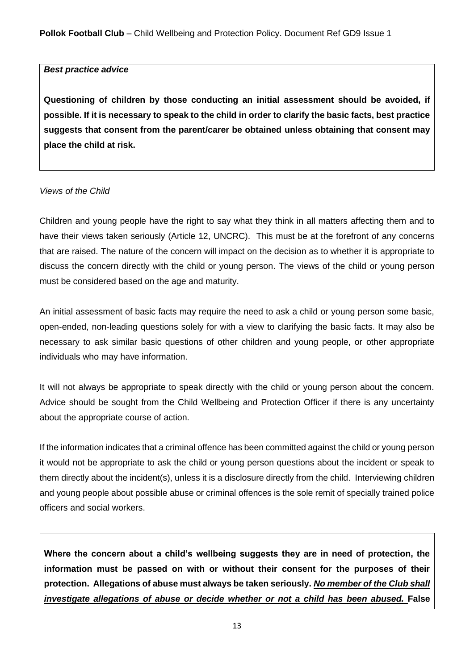#### *Best practice advice*

**Questioning of children by those conducting an initial assessment should be avoided, if possible. If it is necessary to speak to the child in order to clarify the basic facts, best practice suggests that consent from the parent/carer be obtained unless obtaining that consent may place the child at risk.**

#### *Views of the Child*

Children and young people have the right to say what they think in all matters affecting them and to have their views taken seriously (Article 12, UNCRC). This must be at the forefront of any concerns that are raised. The nature of the concern will impact on the decision as to whether it is appropriate to discuss the concern directly with the child or young person. The views of the child or young person must be considered based on the age and maturity.

An initial assessment of basic facts may require the need to ask a child or young person some basic, open-ended, non-leading questions solely for with a view to clarifying the basic facts. It may also be necessary to ask similar basic questions of other children and young people, or other appropriate individuals who may have information.

It will not always be appropriate to speak directly with the child or young person about the concern. Advice should be sought from the Child Wellbeing and Protection Officer if there is any uncertainty about the appropriate course of action.

If the information indicates that a criminal offence has been committed against the child or young person it would not be appropriate to ask the child or young person questions about the incident or speak to them directly about the incident(s), unless it is a disclosure directly from the child. Interviewing children and young people about possible abuse or criminal offences is the sole remit of specially trained police officers and social workers.

**Where the concern about a child's wellbeing suggests they are in need of protection, the information must be passed on with or without their consent for the purposes of their protection. Allegations of abuse must always be taken seriously.** *No member of the Club shall investigate allegations of abuse or decide whether or not a child has been abused.* **False**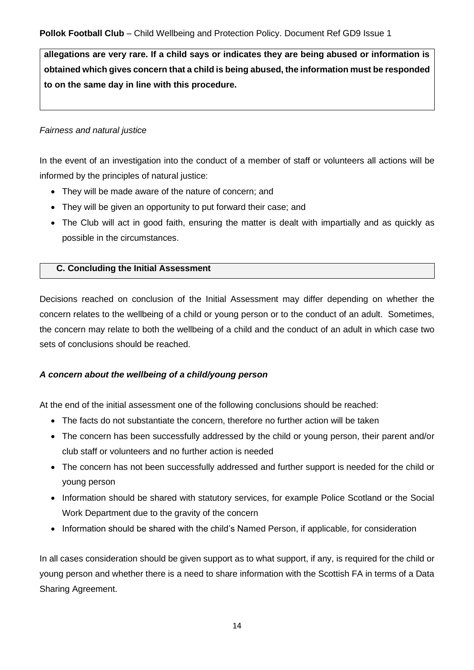**allegations are very rare. If a child says or indicates they are being abused or information is obtained which gives concern that a child is being abused, the information must be responded to on the same day in line with this procedure.** 

#### *Fairness and natural justice*

In the event of an investigation into the conduct of a member of staff or volunteers all actions will be informed by the principles of natural justice:

- They will be made aware of the nature of concern; and
- They will be given an opportunity to put forward their case; and
- The Club will act in good faith, ensuring the matter is dealt with impartially and as quickly as possible in the circumstances.

#### **C. Concluding the Initial Assessment**

Decisions reached on conclusion of the Initial Assessment may differ depending on whether the concern relates to the wellbeing of a child or young person or to the conduct of an adult. Sometimes, the concern may relate to both the wellbeing of a child and the conduct of an adult in which case two sets of conclusions should be reached.

#### *A concern about the wellbeing of a child/young person*

At the end of the initial assessment one of the following conclusions should be reached:

- The facts do not substantiate the concern, therefore no further action will be taken
- The concern has been successfully addressed by the child or young person, their parent and/or club staff or volunteers and no further action is needed
- The concern has not been successfully addressed and further support is needed for the child or young person
- Information should be shared with statutory services, for example Police Scotland or the Social Work Department due to the gravity of the concern
- Information should be shared with the child's Named Person, if applicable, for consideration

In all cases consideration should be given support as to what support, if any, is required for the child or young person and whether there is a need to share information with the Scottish FA in terms of a Data Sharing Agreement.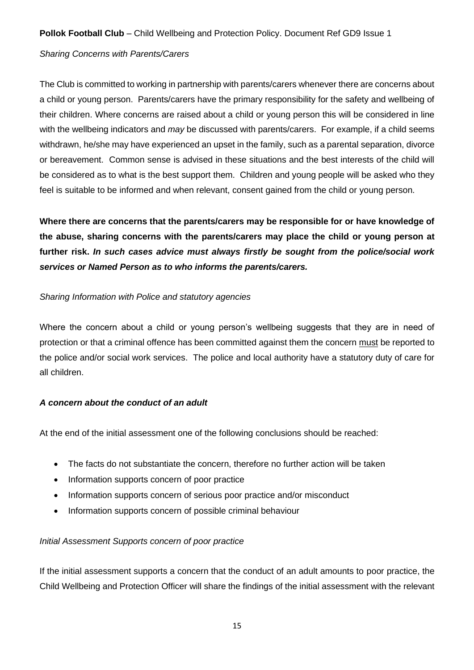#### *Sharing Concerns with Parents/Carers*

The Club is committed to working in partnership with parents/carers whenever there are concerns about a child or young person. Parents/carers have the primary responsibility for the safety and wellbeing of their children. Where concerns are raised about a child or young person this will be considered in line with the wellbeing indicators and *may* be discussed with parents/carers. For example, if a child seems withdrawn, he/she may have experienced an upset in the family, such as a parental separation, divorce or bereavement. Common sense is advised in these situations and the best interests of the child will be considered as to what is the best support them. Children and young people will be asked who they feel is suitable to be informed and when relevant, consent gained from the child or young person.

**Where there are concerns that the parents/carers may be responsible for or have knowledge of the abuse, sharing concerns with the parents/carers may place the child or young person at further risk.** *In such cases advice must always firstly be sought from the police/social work services or Named Person as to who informs the parents/carers.*

#### *Sharing Information with Police and statutory agencies*

Where the concern about a child or young person's wellbeing suggests that they are in need of protection or that a criminal offence has been committed against them the concern must be reported to the police and/or social work services. The police and local authority have a statutory duty of care for all children.

#### *A concern about the conduct of an adult*

At the end of the initial assessment one of the following conclusions should be reached:

- The facts do not substantiate the concern, therefore no further action will be taken
- Information supports concern of poor practice
- Information supports concern of serious poor practice and/or misconduct
- Information supports concern of possible criminal behaviour

#### *Initial Assessment Supports concern of poor practice*

If the initial assessment supports a concern that the conduct of an adult amounts to poor practice, the Child Wellbeing and Protection Officer will share the findings of the initial assessment with the relevant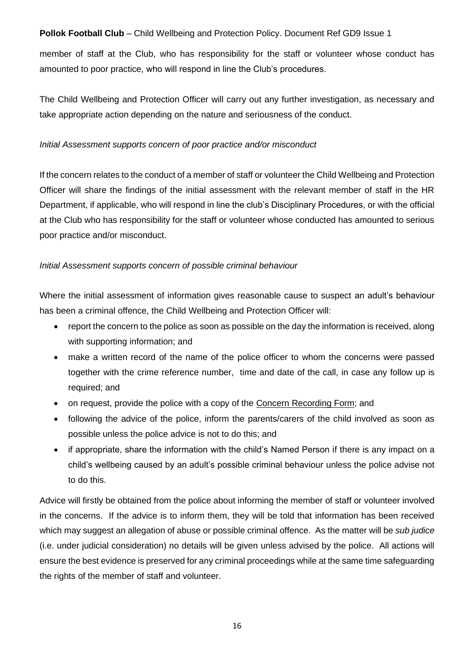member of staff at the Club, who has responsibility for the staff or volunteer whose conduct has amounted to poor practice, who will respond in line the Club's procedures.

The Child Wellbeing and Protection Officer will carry out any further investigation, as necessary and take appropriate action depending on the nature and seriousness of the conduct.

#### *Initial Assessment supports concern of poor practice and/or misconduct*

If the concern relates to the conduct of a member of staff or volunteer the Child Wellbeing and Protection Officer will share the findings of the initial assessment with the relevant member of staff in the HR Department, if applicable, who will respond in line the club's Disciplinary Procedures, or with the official at the Club who has responsibility for the staff or volunteer whose conducted has amounted to serious poor practice and/or misconduct.

#### *Initial Assessment supports concern of possible criminal behaviour*

Where the initial assessment of information gives reasonable cause to suspect an adult's behaviour has been a criminal offence, the Child Wellbeing and Protection Officer will:

- report the concern to the police as soon as possible on the day the information is received, along with supporting information; and
- make a written record of the name of the police officer to whom the concerns were passed together with the crime reference number, time and date of the call, in case any follow up is required; and
- on request, provide the police with a copy of the Concern Recording Form; and
- following the advice of the police, inform the parents/carers of the child involved as soon as possible unless the police advice is not to do this; and
- if appropriate, share the information with the child's Named Person if there is any impact on a child's wellbeing caused by an adult's possible criminal behaviour unless the police advise not to do this.

Advice will firstly be obtained from the police about informing the member of staff or volunteer involved in the concerns. If the advice is to inform them, they will be told that information has been received which may suggest an allegation of abuse or possible criminal offence. As the matter will be *sub judice*  (i.e. under judicial consideration) no details will be given unless advised by the police. All actions will ensure the best evidence is preserved for any criminal proceedings while at the same time safeguarding the rights of the member of staff and volunteer.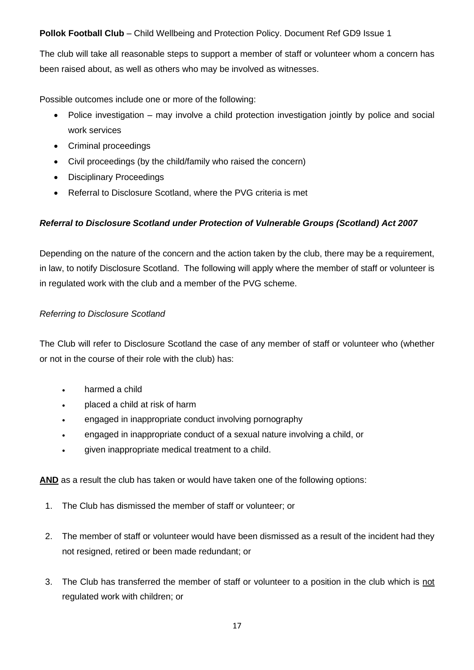The club will take all reasonable steps to support a member of staff or volunteer whom a concern has been raised about, as well as others who may be involved as witnesses.

Possible outcomes include one or more of the following:

- Police investigation may involve a child protection investigation jointly by police and social work services
- Criminal proceedings
- Civil proceedings (by the child/family who raised the concern)
- Disciplinary Proceedings
- Referral to Disclosure Scotland, where the PVG criteria is met

#### *Referral to Disclosure Scotland under Protection of Vulnerable Groups (Scotland) Act 2007*

Depending on the nature of the concern and the action taken by the club, there may be a requirement, in law, to notify Disclosure Scotland. The following will apply where the member of staff or volunteer is in regulated work with the club and a member of the PVG scheme.

#### *Referring to Disclosure Scotland*

The Club will refer to Disclosure Scotland the case of any member of staff or volunteer who (whether or not in the course of their role with the club) has:

- harmed a child
- placed a child at risk of harm
- engaged in inappropriate conduct involving pornography
- engaged in inappropriate conduct of a sexual nature involving a child, or
- given inappropriate medical treatment to a child.

**AND** as a result the club has taken or would have taken one of the following options:

- 1. The Club has dismissed the member of staff or volunteer; or
- 2. The member of staff or volunteer would have been dismissed as a result of the incident had they not resigned, retired or been made redundant; or
- 3. The Club has transferred the member of staff or volunteer to a position in the club which is not regulated work with children; or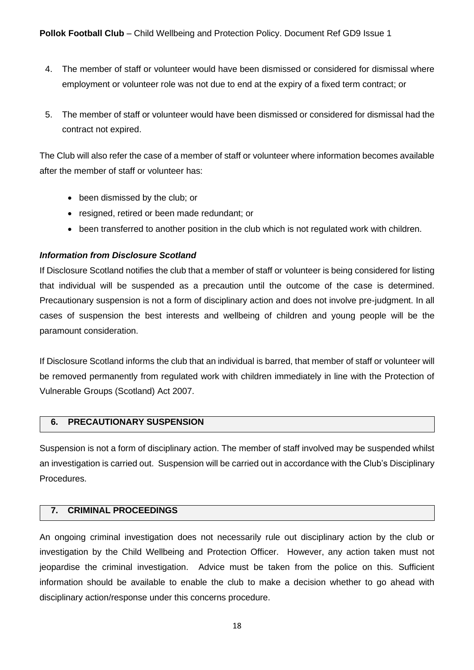- 4. The member of staff or volunteer would have been dismissed or considered for dismissal where employment or volunteer role was not due to end at the expiry of a fixed term contract; or
- 5. The member of staff or volunteer would have been dismissed or considered for dismissal had the contract not expired.

The Club will also refer the case of a member of staff or volunteer where information becomes available after the member of staff or volunteer has:

- been dismissed by the club; or
- resigned, retired or been made redundant; or
- been transferred to another position in the club which is not regulated work with children.

#### *Information from Disclosure Scotland*

If Disclosure Scotland notifies the club that a member of staff or volunteer is being considered for listing that individual will be suspended as a precaution until the outcome of the case is determined. Precautionary suspension is not a form of disciplinary action and does not involve pre-judgment. In all cases of suspension the best interests and wellbeing of children and young people will be the paramount consideration.

If Disclosure Scotland informs the club that an individual is barred, that member of staff or volunteer will be removed permanently from regulated work with children immediately in line with the Protection of Vulnerable Groups (Scotland) Act 2007.

#### **6. PRECAUTIONARY SUSPENSION**

Suspension is not a form of disciplinary action. The member of staff involved may be suspended whilst an investigation is carried out. Suspension will be carried out in accordance with the Club's Disciplinary **Procedures** 

#### **7. CRIMINAL PROCEEDINGS**

An ongoing criminal investigation does not necessarily rule out disciplinary action by the club or investigation by the Child Wellbeing and Protection Officer. However, any action taken must not jeopardise the criminal investigation. Advice must be taken from the police on this. Sufficient information should be available to enable the club to make a decision whether to go ahead with disciplinary action/response under this concerns procedure.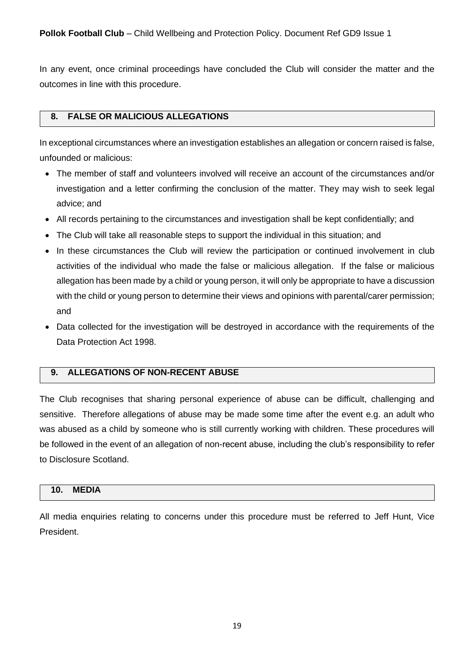In any event, once criminal proceedings have concluded the Club will consider the matter and the outcomes in line with this procedure.

#### **8. FALSE OR MALICIOUS ALLEGATIONS**

In exceptional circumstances where an investigation establishes an allegation or concern raised is false, unfounded or malicious:

- The member of staff and volunteers involved will receive an account of the circumstances and/or investigation and a letter confirming the conclusion of the matter. They may wish to seek legal advice; and
- All records pertaining to the circumstances and investigation shall be kept confidentially; and
- The Club will take all reasonable steps to support the individual in this situation; and
- In these circumstances the Club will review the participation or continued involvement in club activities of the individual who made the false or malicious allegation. If the false or malicious allegation has been made by a child or young person, it will only be appropriate to have a discussion with the child or young person to determine their views and opinions with parental/carer permission; and
- Data collected for the investigation will be destroyed in accordance with the requirements of the Data Protection Act 1998.

#### **9. ALLEGATIONS OF NON-RECENT ABUSE**

The Club recognises that sharing personal experience of abuse can be difficult, challenging and sensitive. Therefore allegations of abuse may be made some time after the event e.g. an adult who was abused as a child by someone who is still currently working with children. These procedures will be followed in the event of an allegation of non-recent abuse, including the club's responsibility to refer to Disclosure Scotland.

#### **10. MEDIA**

All media enquiries relating to concerns under this procedure must be referred to Jeff Hunt, Vice President.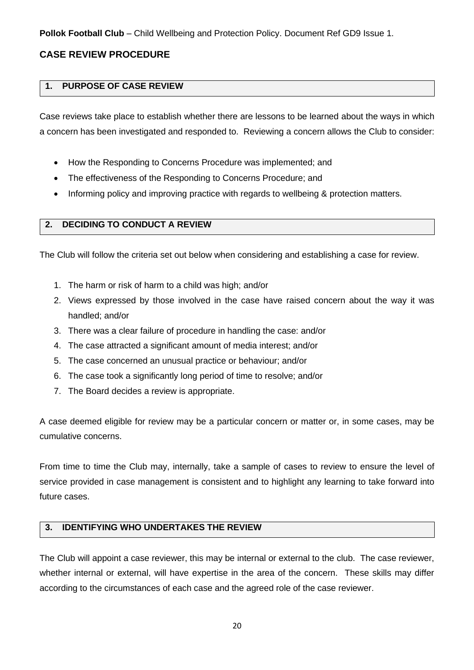#### **CASE REVIEW PROCEDURE**

#### **1. PURPOSE OF CASE REVIEW**

Case reviews take place to establish whether there are lessons to be learned about the ways in which a concern has been investigated and responded to. Reviewing a concern allows the Club to consider:

- How the Responding to Concerns Procedure was implemented; and
- The effectiveness of the Responding to Concerns Procedure; and
- Informing policy and improving practice with regards to wellbeing & protection matters.

#### **2. DECIDING TO CONDUCT A REVIEW**

The Club will follow the criteria set out below when considering and establishing a case for review.

- 1. The harm or risk of harm to a child was high; and/or
- 2. Views expressed by those involved in the case have raised concern about the way it was handled; and/or
- 3. There was a clear failure of procedure in handling the case: and/or
- 4. The case attracted a significant amount of media interest; and/or
- 5. The case concerned an unusual practice or behaviour; and/or
- 6. The case took a significantly long period of time to resolve; and/or
- 7. The Board decides a review is appropriate.

A case deemed eligible for review may be a particular concern or matter or, in some cases, may be cumulative concerns.

From time to time the Club may, internally, take a sample of cases to review to ensure the level of service provided in case management is consistent and to highlight any learning to take forward into future cases.

#### **3. IDENTIFYING WHO UNDERTAKES THE REVIEW**

The Club will appoint a case reviewer, this may be internal or external to the club. The case reviewer, whether internal or external, will have expertise in the area of the concern. These skills may differ according to the circumstances of each case and the agreed role of the case reviewer.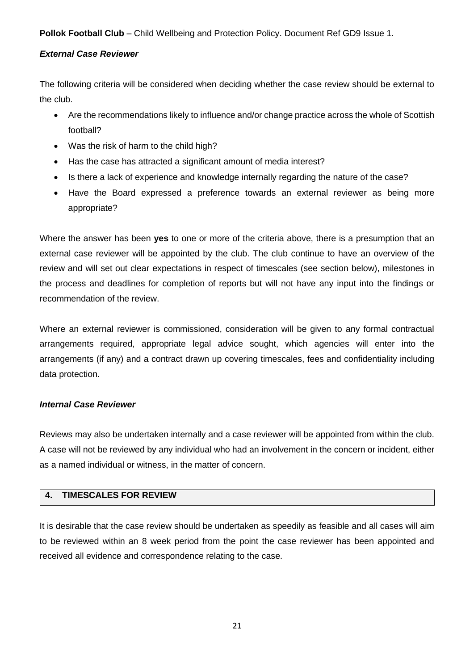#### *External Case Reviewer*

The following criteria will be considered when deciding whether the case review should be external to the club.

- Are the recommendations likely to influence and/or change practice across the whole of Scottish football?
- Was the risk of harm to the child high?
- Has the case has attracted a significant amount of media interest?
- Is there a lack of experience and knowledge internally regarding the nature of the case?
- Have the Board expressed a preference towards an external reviewer as being more appropriate?

Where the answer has been **yes** to one or more of the criteria above, there is a presumption that an external case reviewer will be appointed by the club. The club continue to have an overview of the review and will set out clear expectations in respect of timescales (see section below), milestones in the process and deadlines for completion of reports but will not have any input into the findings or recommendation of the review.

Where an external reviewer is commissioned, consideration will be given to any formal contractual arrangements required, appropriate legal advice sought, which agencies will enter into the arrangements (if any) and a contract drawn up covering timescales, fees and confidentiality including data protection.

#### *Internal Case Reviewer*

Reviews may also be undertaken internally and a case reviewer will be appointed from within the club. A case will not be reviewed by any individual who had an involvement in the concern or incident, either as a named individual or witness, in the matter of concern.

#### **4. TIMESCALES FOR REVIEW**

It is desirable that the case review should be undertaken as speedily as feasible and all cases will aim to be reviewed within an 8 week period from the point the case reviewer has been appointed and received all evidence and correspondence relating to the case.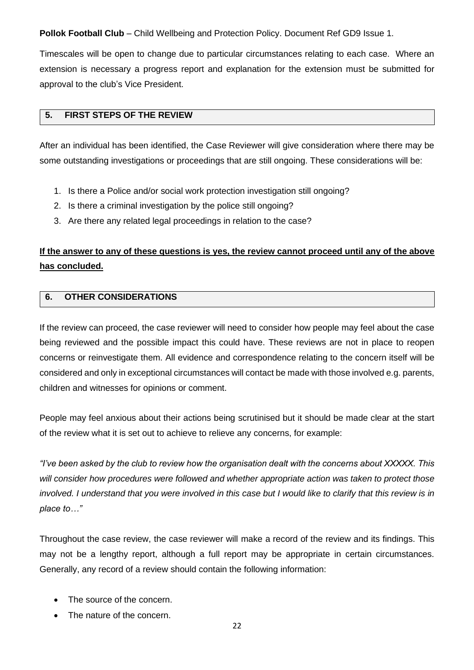Timescales will be open to change due to particular circumstances relating to each case. Where an extension is necessary a progress report and explanation for the extension must be submitted for approval to the club's Vice President.

#### **5. FIRST STEPS OF THE REVIEW**

After an individual has been identified, the Case Reviewer will give consideration where there may be some outstanding investigations or proceedings that are still ongoing. These considerations will be:

- 1. Is there a Police and/or social work protection investigation still ongoing?
- 2. Is there a criminal investigation by the police still ongoing?
- 3. Are there any related legal proceedings in relation to the case?

## **If the answer to any of these questions is yes, the review cannot proceed until any of the above has concluded.**

#### **6. OTHER CONSIDERATIONS**

If the review can proceed, the case reviewer will need to consider how people may feel about the case being reviewed and the possible impact this could have. These reviews are not in place to reopen concerns or reinvestigate them. All evidence and correspondence relating to the concern itself will be considered and only in exceptional circumstances will contact be made with those involved e.g. parents, children and witnesses for opinions or comment.

People may feel anxious about their actions being scrutinised but it should be made clear at the start of the review what it is set out to achieve to relieve any concerns, for example:

*"I've been asked by the club to review how the organisation dealt with the concerns about XXXXX. This will consider how procedures were followed and whether appropriate action was taken to protect those involved. I understand that you were involved in this case but I would like to clarify that this review is in place to…"*

Throughout the case review, the case reviewer will make a record of the review and its findings. This may not be a lengthy report, although a full report may be appropriate in certain circumstances. Generally, any record of a review should contain the following information:

- The source of the concern.
- The nature of the concern.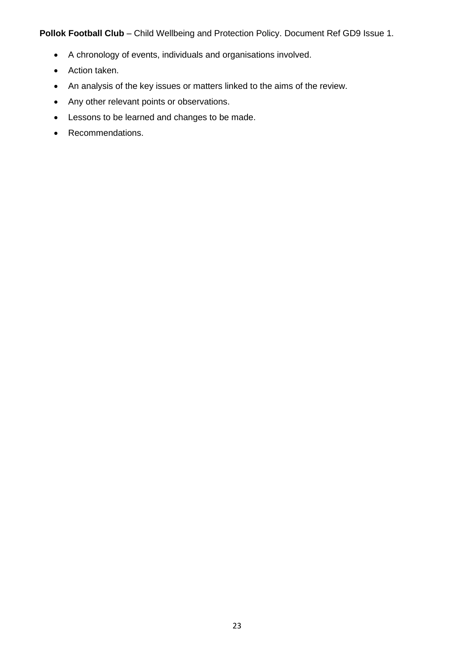- A chronology of events, individuals and organisations involved.
- Action taken.
- An analysis of the key issues or matters linked to the aims of the review.
- Any other relevant points or observations.
- Lessons to be learned and changes to be made.
- Recommendations.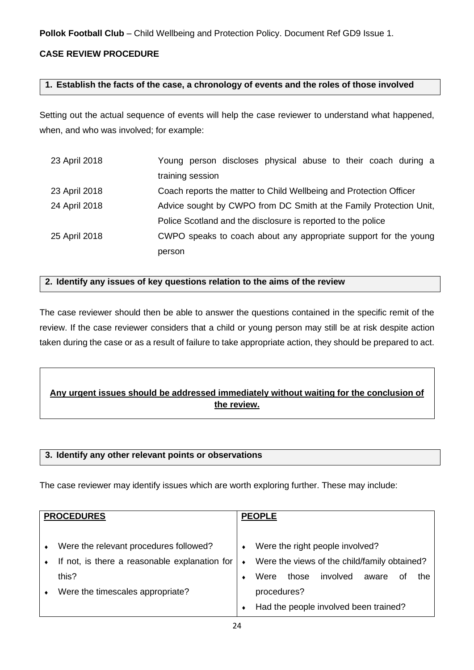#### **CASE REVIEW PROCEDURE**

#### **1. Establish the facts of the case, a chronology of events and the roles of those involved**

Setting out the actual sequence of events will help the case reviewer to understand what happened, when, and who was involved; for example:

| 23 April 2018 | Young person discloses physical abuse to their coach during a      |  |  |  |
|---------------|--------------------------------------------------------------------|--|--|--|
|               | training session                                                   |  |  |  |
| 23 April 2018 | Coach reports the matter to Child Wellbeing and Protection Officer |  |  |  |
| 24 April 2018 | Advice sought by CWPO from DC Smith at the Family Protection Unit, |  |  |  |
|               | Police Scotland and the disclosure is reported to the police       |  |  |  |
| 25 April 2018 | CWPO speaks to coach about any appropriate support for the young   |  |  |  |
|               | person                                                             |  |  |  |

#### **2. Identify any issues of key questions relation to the aims of the review**

The case reviewer should then be able to answer the questions contained in the specific remit of the review. If the case reviewer considers that a child or young person may still be at risk despite action taken during the case or as a result of failure to take appropriate action, they should be prepared to act.

### **Any urgent issues should be addressed immediately without waiting for the conclusion of the review.**

#### **3. Identify any other relevant points or observations**

The case reviewer may identify issues which are worth exploring further. These may include:

| <b>PROCEDURES</b> |                                               | <b>PEOPLE</b> |             |       |                                              |       |    |     |
|-------------------|-----------------------------------------------|---------------|-------------|-------|----------------------------------------------|-------|----|-----|
|                   |                                               |               |             |       |                                              |       |    |     |
| $\bullet$         | Were the relevant procedures followed?        | ٠             |             |       | Were the right people involved?              |       |    |     |
|                   | If not, is there a reasonable explanation for | $\bullet$     |             |       | Were the views of the child/family obtained? |       |    |     |
|                   | this?                                         |               | Were        | those | involved                                     | aware | 0t | the |
| $\bullet$         | Were the timescales appropriate?              |               | procedures? |       |                                              |       |    |     |
|                   |                                               |               |             |       | Had the people involved been trained?        |       |    |     |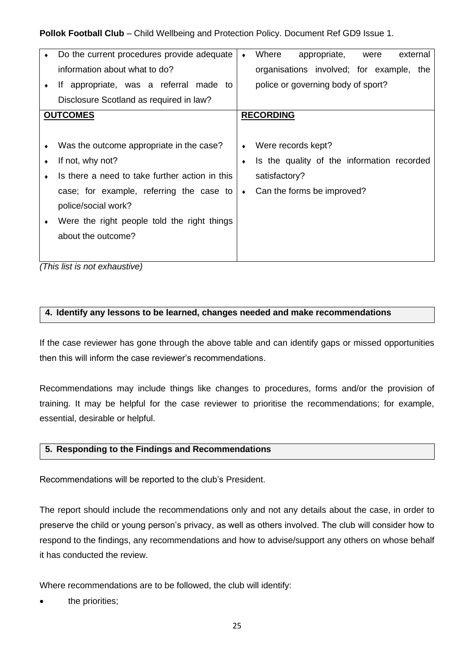| $\bullet$ | Do the current procedures provide adequate                                                                                    | $\bullet$ | Where<br>appropriate,<br>external<br>were  |
|-----------|-------------------------------------------------------------------------------------------------------------------------------|-----------|--------------------------------------------|
|           | information about what to do?                                                                                                 |           | organisations involved; for example, the   |
|           | If appropriate, was a referral made to                                                                                        |           | police or governing body of sport?         |
|           | Disclosure Scotland as required in law?                                                                                       |           |                                            |
|           | <b>OUTCOMES</b>                                                                                                               |           | <b>RECORDING</b>                           |
|           |                                                                                                                               |           |                                            |
|           | Was the outcome appropriate in the case?                                                                                      | ٠         | Were records kept?                         |
|           | If not, why not?                                                                                                              | ٠         | Is the quality of the information recorded |
|           | Is there a need to take further action in this                                                                                |           | satisfactory?                              |
|           | case; for example, referring the case to                                                                                      | ٠         | Can the forms be improved?                 |
|           | police/social work?                                                                                                           |           |                                            |
|           | Were the right people told the right things                                                                                   |           |                                            |
|           | about the outcome?                                                                                                            |           |                                            |
|           |                                                                                                                               |           |                                            |
|           | $\sqrt{2}$<br>the contract of the contract of the contract of the contract of the contract of the contract of the contract of |           |                                            |

*(This list is not exhaustive)*

#### **4. Identify any lessons to be learned, changes needed and make recommendations**

If the case reviewer has gone through the above table and can identify gaps or missed opportunities then this will inform the case reviewer's recommendations.

Recommendations may include things like changes to procedures, forms and/or the provision of training. It may be helpful for the case reviewer to prioritise the recommendations; for example, essential, desirable or helpful.

#### **5. Responding to the Findings and Recommendations**

Recommendations will be reported to the club's President.

The report should include the recommendations only and not any details about the case, in order to preserve the child or young person's privacy, as well as others involved. The club will consider how to respond to the findings, any recommendations and how to advise/support any others on whose behalf it has conducted the review.

Where recommendations are to be followed, the club will identify:

the priorities;